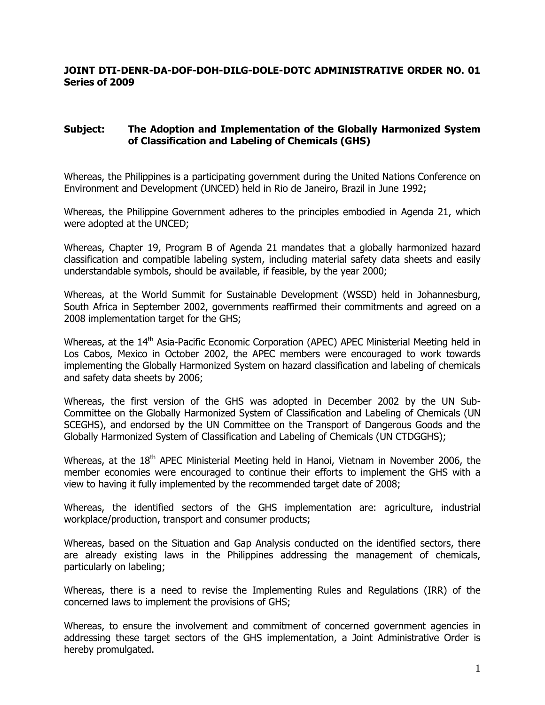# **JOINT DTI-DENR-DA-DOF-DOH-DILG-DOLE-DOTC ADMINISTRATIVE ORDER NO. 01 Series of 2009**

# **Subject: The Adoption and Implementation of the Globally Harmonized System of Classification and Labeling of Chemicals (GHS)**

Whereas, the Philippines is a participating government during the United Nations Conference on Environment and Development (UNCED) held in Rio de Janeiro, Brazil in June 1992;

Whereas, the Philippine Government adheres to the principles embodied in Agenda 21, which were adopted at the UNCED;

Whereas, Chapter 19, Program B of Agenda 21 mandates that a globally harmonized hazard classification and compatible labeling system, including material safety data sheets and easily understandable symbols, should be available, if feasible, by the year 2000;

Whereas, at the World Summit for Sustainable Development (WSSD) held in Johannesburg, South Africa in September 2002, governments reaffirmed their commitments and agreed on a 2008 implementation target for the GHS;

Whereas, at the 14<sup>th</sup> Asia-Pacific Economic Corporation (APEC) APEC Ministerial Meeting held in Los Cabos, Mexico in October 2002, the APEC members were encouraged to work towards implementing the Globally Harmonized System on hazard classification and labeling of chemicals and safety data sheets by 2006;

Whereas, the first version of the GHS was adopted in December 2002 by the UN Sub-Committee on the Globally Harmonized System of Classification and Labeling of Chemicals (UN SCEGHS), and endorsed by the UN Committee on the Transport of Dangerous Goods and the Globally Harmonized System of Classification and Labeling of Chemicals (UN CTDGGHS);

Whereas, at the 18<sup>th</sup> APEC Ministerial Meeting held in Hanoi, Vietnam in November 2006, the member economies were encouraged to continue their efforts to implement the GHS with a view to having it fully implemented by the recommended target date of 2008;

Whereas, the identified sectors of the GHS implementation are: agriculture, industrial workplace/production, transport and consumer products;

Whereas, based on the Situation and Gap Analysis conducted on the identified sectors, there are already existing laws in the Philippines addressing the management of chemicals, particularly on labeling;

Whereas, there is a need to revise the Implementing Rules and Regulations (IRR) of the concerned laws to implement the provisions of GHS;

Whereas, to ensure the involvement and commitment of concerned government agencies in addressing these target sectors of the GHS implementation, a Joint Administrative Order is hereby promulgated.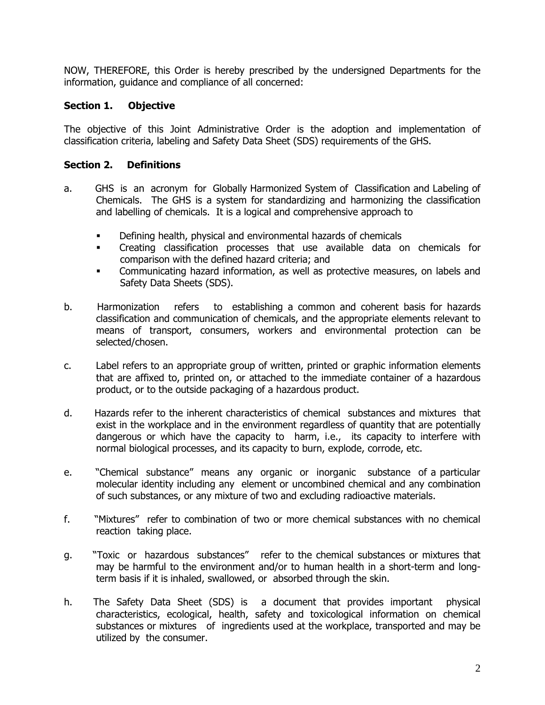NOW, THEREFORE, this Order is hereby prescribed by the undersigned Departments for the information, guidance and compliance of all concerned:

# **Section 1. Objective**

The objective of this Joint Administrative Order is the adoption and implementation of classification criteria, labeling and Safety Data Sheet (SDS) requirements of the GHS.

# **Section 2. Definitions**

- a. GHS is an acronym for Globally Harmonized System of Classification and Labeling of Chemicals. The GHS is a system for standardizing and harmonizing the classification and labelling of chemicals. It is a logical and comprehensive approach to
	- **Defining health, physical and environmental hazards of chemicals**
	- Creating classification processes that use available data on chemicals for comparison with the defined hazard criteria; and
	- Communicating hazard information, as well as protective measures, on labels and Safety Data Sheets (SDS).
- b. Harmonization refers to establishing a common and coherent basis for hazards classification and communication of chemicals, and the appropriate elements relevant to means of transport, consumers, workers and environmental protection can be selected/chosen.
- c. Label refers to an appropriate group of written, printed or graphic information elements that are affixed to, printed on, or attached to the immediate container of a hazardous product, or to the outside packaging of a hazardous product.
- d. Hazards refer to the inherent characteristics of chemical substances and mixtures that exist in the workplace and in the environment regardless of quantity that are potentially dangerous or which have the capacity to harm, i.e., its capacity to interfere with normal biological processes, and its capacity to burn, explode, corrode, etc.
- e. "Chemical substance" means any organic or inorganic substance of a particular molecular identity including any element or uncombined chemical and any combination of such substances, or any mixture of two and excluding radioactive materials.
- f. "Mixtures" refer to combination of two or more chemical substances with no chemical reaction taking place.
- g. "Toxic or hazardous substances" refer to the chemical substances or mixtures that may be harmful to the environment and/or to human health in a short-term and longterm basis if it is inhaled, swallowed, or absorbed through the skin.
- h. The Safety Data Sheet (SDS) is a document that provides important physical characteristics, ecological, health, safety and toxicological information on chemical substances or mixtures of ingredients used at the workplace, transported and may be utilized by the consumer.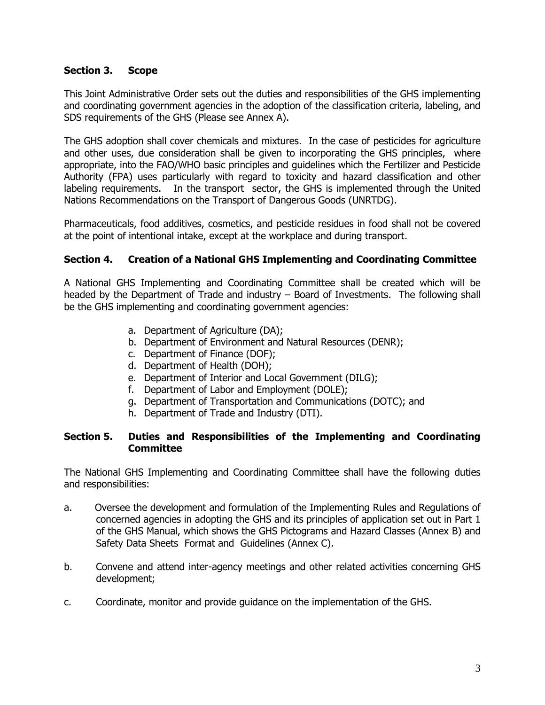# **Section 3. Scope**

This Joint Administrative Order sets out the duties and responsibilities of the GHS implementing and coordinating government agencies in the adoption of the classification criteria, labeling, and SDS requirements of the GHS (Please see Annex A).

The GHS adoption shall cover chemicals and mixtures. In the case of pesticides for agriculture and other uses, due consideration shall be given to incorporating the GHS principles, where appropriate, into the FAO/WHO basic principles and guidelines which the Fertilizer and Pesticide Authority (FPA) uses particularly with regard to toxicity and hazard classification and other labeling requirements. In the transport sector, the GHS is implemented through the United Nations Recommendations on the Transport of Dangerous Goods (UNRTDG).

Pharmaceuticals, food additives, cosmetics, and pesticide residues in food shall not be covered at the point of intentional intake, except at the workplace and during transport.

# **Section 4. Creation of a National GHS Implementing and Coordinating Committee**

A National GHS Implementing and Coordinating Committee shall be created which will be headed by the Department of Trade and industry – Board of Investments. The following shall be the GHS implementing and coordinating government agencies:

- a. Department of Agriculture (DA);
- b. Department of Environment and Natural Resources (DENR);
- c. Department of Finance (DOF);
- d. Department of Health (DOH);
- e. Department of Interior and Local Government (DILG);
- f. Department of Labor and Employment (DOLE);
- g. Department of Transportation and Communications (DOTC); and
- h. Department of Trade and Industry (DTI).

# **Section 5. Duties and Responsibilities of the Implementing and Coordinating Committee**

The National GHS Implementing and Coordinating Committee shall have the following duties and responsibilities:

- a. Oversee the development and formulation of the Implementing Rules and Regulations of concerned agencies in adopting the GHS and its principles of application set out in Part 1 of the GHS Manual, which shows the GHS Pictograms and Hazard Classes (Annex B) and Safety Data Sheets Format and Guidelines (Annex C).
- b. Convene and attend inter-agency meetings and other related activities concerning GHS development;
- c. Coordinate, monitor and provide guidance on the implementation of the GHS.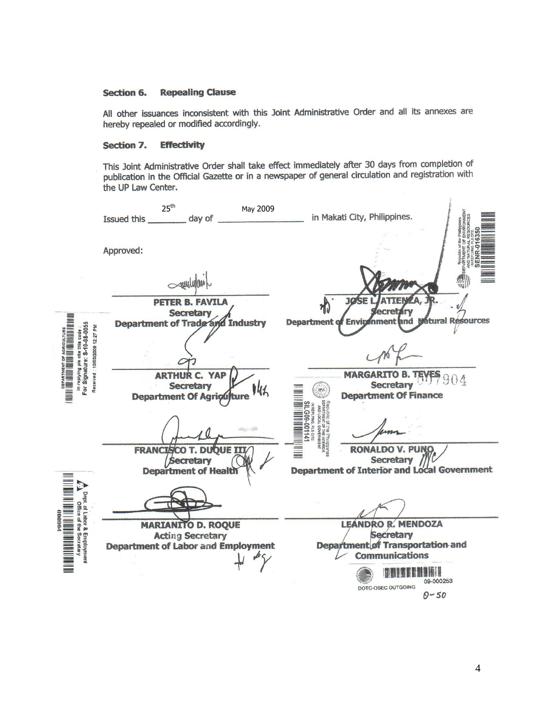#### **Repealing Clause Section 6.**

All other issuances inconsistent with this Joint Administrative Order and all its annexes are hereby repealed or modified accordingly.

#### Section 7. **Effectivity**

This Joint Administrative Order shall take effect immediately after 30 days from completion of publication in the Official Gazette or in a newspaper of general circulation and registration with the UP Law Center.

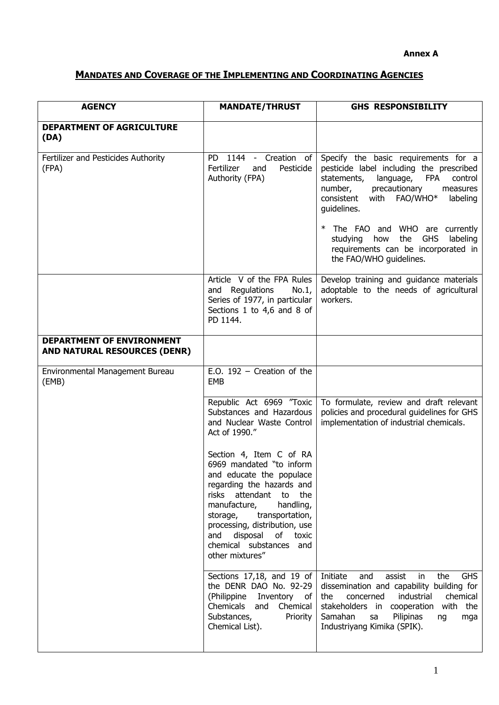# **MANDATES AND COVERAGE OF THE IMPLEMENTING AND COORDINATING AGENCIES**

| <b>AGENCY</b>                                                    | <b>MANDATE/THRUST</b>                                                                                                                                                                                                                                                                                                           | <b>GHS RESPONSIBILITY</b>                                                                                                                                                                                                                                                                                                              |
|------------------------------------------------------------------|---------------------------------------------------------------------------------------------------------------------------------------------------------------------------------------------------------------------------------------------------------------------------------------------------------------------------------|----------------------------------------------------------------------------------------------------------------------------------------------------------------------------------------------------------------------------------------------------------------------------------------------------------------------------------------|
| <b>DEPARTMENT OF AGRICULTURE</b><br>(DA)                         |                                                                                                                                                                                                                                                                                                                                 |                                                                                                                                                                                                                                                                                                                                        |
| Fertilizer and Pesticides Authority<br>(FPA)                     | PD 1144<br>Creation<br>$\sim$<br>of<br>Fertilizer<br>Pesticide<br>and<br>Authority (FPA)                                                                                                                                                                                                                                        | Specify the basic requirements for a<br>pesticide label including the prescribed<br>statements,<br>language,<br><b>FPA</b><br>control<br>number,<br>precautionary<br>measures<br>consistent<br>with FAO/WHO*<br>labeling<br>guidelines.<br>$\ast$<br>The FAO and WHO are currently<br>studying<br>the<br><b>GHS</b><br>labeling<br>how |
|                                                                  |                                                                                                                                                                                                                                                                                                                                 | requirements can be incorporated in<br>the FAO/WHO guidelines.                                                                                                                                                                                                                                                                         |
|                                                                  | Article V of the FPA Rules<br>and Regulations<br>No.1<br>Series of 1977, in particular<br>Sections 1 to 4,6 and 8 of<br>PD 1144.                                                                                                                                                                                                | Develop training and guidance materials<br>adoptable to the needs of agricultural<br>workers.                                                                                                                                                                                                                                          |
| DEPARTMENT OF ENVIRONMENT<br><b>AND NATURAL RESOURCES (DENR)</b> |                                                                                                                                                                                                                                                                                                                                 |                                                                                                                                                                                                                                                                                                                                        |
| Environmental Management Bureau<br>(EMB)                         | E.O. $192$ - Creation of the<br>EMB                                                                                                                                                                                                                                                                                             |                                                                                                                                                                                                                                                                                                                                        |
|                                                                  | Republic Act 6969 "Toxic<br>Substances and Hazardous<br>and Nuclear Waste Control<br>Act of 1990."                                                                                                                                                                                                                              | To formulate, review and draft relevant<br>policies and procedural guidelines for GHS<br>implementation of industrial chemicals.                                                                                                                                                                                                       |
|                                                                  | Section 4, Item C of RA<br>6969 mandated "to inform<br>and educate the populace<br>regarding the hazards and<br>risks<br>attendant<br>to<br>the<br>manufacture,<br>handling,<br>transportation,<br>storage,<br>processing, distribution, use<br>disposal<br>and<br>of<br>toxic<br>chemical substances<br>and<br>other mixtures" |                                                                                                                                                                                                                                                                                                                                        |
|                                                                  | Sections 17,18, and 19 of<br>the DENR DAO No. 92-29<br>(Philippine<br>Inventory of<br>Chemicals<br>and<br>Chemical<br>Substances,<br>Priority<br>Chemical List).                                                                                                                                                                | <b>GHS</b><br>Initiate<br>and<br>the<br>assist<br>in<br>dissemination and capability building for<br>concerned<br>industrial<br>chemical<br>the<br>stakeholders in cooperation<br>with the<br>Samahan<br>Pilipinas<br>sa<br>ng<br>mga<br>Industriyang Kimika (SPIK).                                                                   |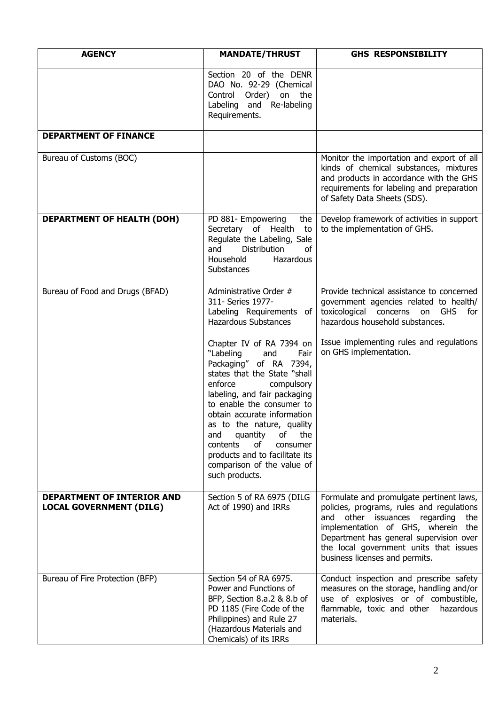| <b>AGENCY</b>                                                | <b>MANDATE/THRUST</b>                                                                                                                                                                                                                                                                                                                                                                                            | <b>GHS RESPONSIBILITY</b>                                                                                                                                                                                                                                                                     |
|--------------------------------------------------------------|------------------------------------------------------------------------------------------------------------------------------------------------------------------------------------------------------------------------------------------------------------------------------------------------------------------------------------------------------------------------------------------------------------------|-----------------------------------------------------------------------------------------------------------------------------------------------------------------------------------------------------------------------------------------------------------------------------------------------|
|                                                              | Section 20 of the DENR<br>DAO No. 92-29 (Chemical<br>Order)<br>on the<br>Control<br>Labeling and Re-labeling<br>Requirements.                                                                                                                                                                                                                                                                                    |                                                                                                                                                                                                                                                                                               |
| <b>DEPARTMENT OF FINANCE</b>                                 |                                                                                                                                                                                                                                                                                                                                                                                                                  |                                                                                                                                                                                                                                                                                               |
| Bureau of Customs (BOC)                                      |                                                                                                                                                                                                                                                                                                                                                                                                                  | Monitor the importation and export of all<br>kinds of chemical substances, mixtures<br>and products in accordance with the GHS<br>requirements for labeling and preparation<br>of Safety Data Sheets (SDS).                                                                                   |
| <b>DEPARTMENT OF HEALTH (DOH)</b>                            | PD 881- Empowering<br>the<br>Secretary of Health<br>to<br>Regulate the Labeling, Sale<br>and<br>Distribution<br>of<br>Household<br>Hazardous<br><b>Substances</b>                                                                                                                                                                                                                                                | Develop framework of activities in support<br>to the implementation of GHS.                                                                                                                                                                                                                   |
| Bureau of Food and Drugs (BFAD)                              | Administrative Order #<br>311- Series 1977-<br>Labeling Requirements of<br><b>Hazardous Substances</b>                                                                                                                                                                                                                                                                                                           | Provide technical assistance to concerned<br>government agencies related to health/<br>toxicological concerns on GHS<br>for<br>hazardous household substances.                                                                                                                                |
|                                                              | Chapter IV of RA 7394 on<br>"Labeling<br>Fair<br>and<br>Packaging" of RA 7394,<br>states that the State "shall<br>enforce<br>compulsory<br>labeling, and fair packaging<br>to enable the consumer to<br>obtain accurate information<br>as to the nature, quality<br>quantity<br>of<br>the<br>and<br>contents<br>of<br>consumer<br>products and to facilitate its<br>comparison of the value of<br>such products. | Issue implementing rules and regulations<br>on GHS implementation.                                                                                                                                                                                                                            |
| DEPARTMENT OF INTERIOR AND<br><b>LOCAL GOVERNMENT (DILG)</b> | Section 5 of RA 6975 (DILG<br>Act of 1990) and IRRs                                                                                                                                                                                                                                                                                                                                                              | Formulate and promulgate pertinent laws,<br>policies, programs, rules and regulations<br>other issuances regarding<br>the<br>and<br>implementation of GHS, wherein the<br>Department has general supervision over<br>the local government units that issues<br>business licenses and permits. |
| Bureau of Fire Protection (BFP)                              | Section 54 of RA 6975.<br>Power and Functions of<br>BFP, Section 8.a.2 & 8.b of<br>PD 1185 (Fire Code of the<br>Philippines) and Rule 27<br>(Hazardous Materials and<br>Chemicals) of its IRRs                                                                                                                                                                                                                   | Conduct inspection and prescribe safety<br>measures on the storage, handling and/or<br>use of explosives or of combustible,<br>flammable, toxic and other<br>hazardous<br>materials.                                                                                                          |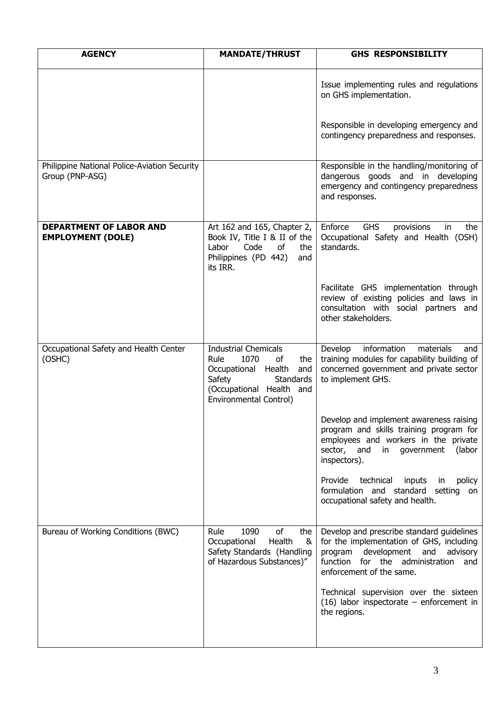| <b>AGENCY</b>                                                   | <b>MANDATE/THRUST</b>                                                                                                                                                             | <b>GHS RESPONSIBILITY</b>                                                                                                                                                                       |
|-----------------------------------------------------------------|-----------------------------------------------------------------------------------------------------------------------------------------------------------------------------------|-------------------------------------------------------------------------------------------------------------------------------------------------------------------------------------------------|
|                                                                 |                                                                                                                                                                                   | Issue implementing rules and regulations<br>on GHS implementation.                                                                                                                              |
|                                                                 |                                                                                                                                                                                   | Responsible in developing emergency and<br>contingency preparedness and responses.                                                                                                              |
| Philippine National Police-Aviation Security<br>Group (PNP-ASG) |                                                                                                                                                                                   | Responsible in the handling/monitoring of<br>dangerous goods and in developing<br>emergency and contingency preparedness<br>and responses.                                                      |
| <b>DEPARTMENT OF LABOR AND</b><br><b>EMPLOYMENT (DOLE)</b>      | Art 162 and 165, Chapter 2,<br>Book IV, Title I & II of the<br>Code<br>Labor<br>of<br>the<br>Philippines (PD 442)<br>and<br>its IRR.                                              | Enforce<br><b>GHS</b><br>provisions<br>in<br>the<br>Occupational Safety and Health (OSH)<br>standards.                                                                                          |
|                                                                 |                                                                                                                                                                                   | Facilitate GHS implementation through<br>review of existing policies and laws in<br>consultation with social partners and<br>other stakeholders.                                                |
| Occupational Safety and Health Center<br>(OSHC)                 | <b>Industrial Chemicals</b><br>1070<br>Rule<br>of<br>the<br>Occupational Health<br>and<br>Safety<br><b>Standards</b><br>(Occupational Health and<br><b>Environmental Control)</b> | information<br>Develop<br>materials<br>and<br>training modules for capability building of<br>concerned government and private sector<br>to implement GHS.                                       |
|                                                                 |                                                                                                                                                                                   | Develop and implement awareness raising<br>program and skills training program for<br>employees and workers in the private<br>sector, and<br>government<br>(labor<br>in<br>inspectors).         |
|                                                                 |                                                                                                                                                                                   | technical<br>Provide<br>inputs<br>policy<br>in<br>formulation and standard setting<br>on<br>occupational safety and health.                                                                     |
| Bureau of Working Conditions (BWC)                              | Rule<br>1090<br>of<br>the<br>Health<br>Occupational<br>&<br>Safety Standards (Handling<br>of Hazardous Substances)"                                                               | Develop and prescribe standard guidelines<br>for the implementation of GHS, including<br>program development and advisory<br>function for the administration<br>and<br>enforcement of the same. |
|                                                                 |                                                                                                                                                                                   | Technical supervision over the sixteen<br>$(16)$ labor inspectorate – enforcement in<br>the regions.                                                                                            |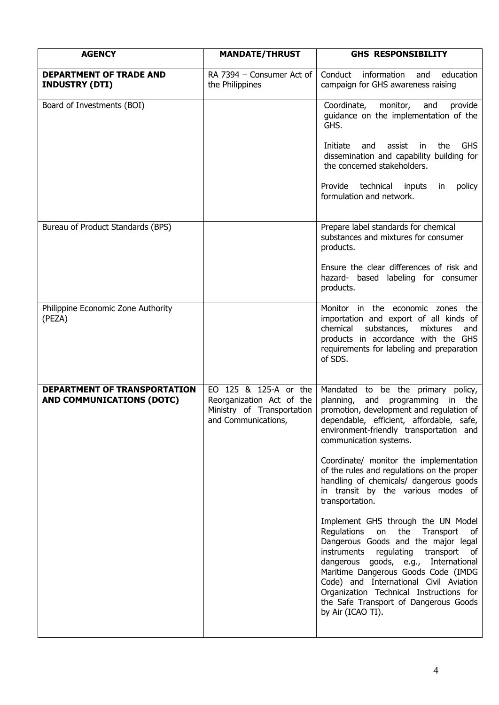| <b>AGENCY</b>                                                           | <b>MANDATE/THRUST</b>                                                                                   | <b>GHS RESPONSIBILITY</b>                                                                                                                                                                                                                                                                                                                                                                         |
|-------------------------------------------------------------------------|---------------------------------------------------------------------------------------------------------|---------------------------------------------------------------------------------------------------------------------------------------------------------------------------------------------------------------------------------------------------------------------------------------------------------------------------------------------------------------------------------------------------|
| <b>DEPARTMENT OF TRADE AND</b><br><b>INDUSTRY (DTI)</b>                 | RA 7394 - Consumer Act of<br>the Philippines                                                            | information<br>Conduct<br>and<br>education<br>campaign for GHS awareness raising                                                                                                                                                                                                                                                                                                                  |
| Board of Investments (BOI)                                              |                                                                                                         | Coordinate, monitor,<br>and<br>provide<br>guidance on the implementation of the<br>GHS.                                                                                                                                                                                                                                                                                                           |
|                                                                         |                                                                                                         | Initiate<br>and<br>assist<br>in<br>the<br><b>GHS</b><br>dissemination and capability building for<br>the concerned stakeholders.                                                                                                                                                                                                                                                                  |
|                                                                         |                                                                                                         | Provide technical inputs<br>policy<br>in<br>formulation and network.                                                                                                                                                                                                                                                                                                                              |
| Bureau of Product Standards (BPS)                                       |                                                                                                         | Prepare label standards for chemical<br>substances and mixtures for consumer<br>products.                                                                                                                                                                                                                                                                                                         |
|                                                                         |                                                                                                         | Ensure the clear differences of risk and<br>hazard- based labeling for consumer<br>products.                                                                                                                                                                                                                                                                                                      |
| Philippine Economic Zone Authority<br>(PEZA)                            |                                                                                                         | Monitor in the economic zones the<br>importation and export of all kinds of<br>chemical<br>substances,<br>mixtures<br>and<br>products in accordance with the GHS<br>requirements for labeling and preparation<br>of SDS.                                                                                                                                                                          |
| <b>DEPARTMENT OF TRANSPORTATION</b><br><b>AND COMMUNICATIONS (DOTC)</b> | EO 125 & 125-A or the<br>Reorganization Act of the<br>Ministry of Transportation<br>and Communications. | Mandated to be the primary policy,<br>planning,<br>and<br>programming<br>in the<br>promotion, development and regulation of<br>dependable, efficient, affordable, safe,<br>environment-friendly transportation and<br>communication systems.                                                                                                                                                      |
|                                                                         |                                                                                                         | Coordinate/ monitor the implementation<br>of the rules and regulations on the proper<br>handling of chemicals/ dangerous goods<br>in transit by the various modes of<br>transportation.                                                                                                                                                                                                           |
|                                                                         |                                                                                                         | Implement GHS through the UN Model<br>Regulations<br>on<br>the Transport<br>of<br>Dangerous Goods and the major legal<br>instruments regulating transport<br>of<br>dangerous goods, e.g., International<br>Maritime Dangerous Goods Code (IMDG<br>Code) and International Civil Aviation<br>Organization Technical Instructions for<br>the Safe Transport of Dangerous Goods<br>by Air (ICAO TI). |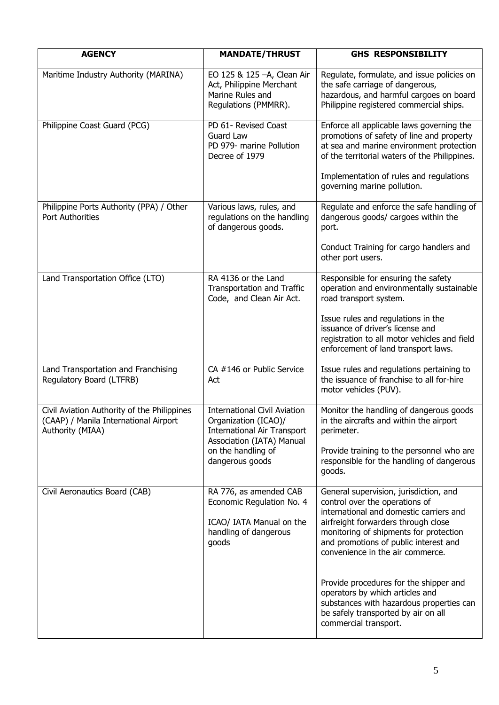| <b>AGENCY</b>                                                                                            | <b>MANDATE/THRUST</b>                                                                                                          | <b>GHS RESPONSIBILITY</b>                                                                                                                                                             |
|----------------------------------------------------------------------------------------------------------|--------------------------------------------------------------------------------------------------------------------------------|---------------------------------------------------------------------------------------------------------------------------------------------------------------------------------------|
| Maritime Industry Authority (MARINA)                                                                     | EO 125 & 125 - A, Clean Air<br>Act, Philippine Merchant<br>Marine Rules and<br>Regulations (PMMRR).                            | Regulate, formulate, and issue policies on<br>the safe carriage of dangerous,<br>hazardous, and harmful cargoes on board<br>Philippine registered commercial ships.                   |
| Philippine Coast Guard (PCG)                                                                             | PD 61- Revised Coast<br>Guard Law<br>PD 979- marine Pollution<br>Decree of 1979                                                | Enforce all applicable laws governing the<br>promotions of safety of line and property<br>at sea and marine environment protection<br>of the territorial waters of the Philippines.   |
|                                                                                                          |                                                                                                                                | Implementation of rules and regulations<br>governing marine pollution.                                                                                                                |
| Philippine Ports Authority (PPA) / Other<br><b>Port Authorities</b>                                      | Various laws, rules, and<br>regulations on the handling<br>of dangerous goods.                                                 | Regulate and enforce the safe handling of<br>dangerous goods/ cargoes within the<br>port.                                                                                             |
|                                                                                                          |                                                                                                                                | Conduct Training for cargo handlers and<br>other port users.                                                                                                                          |
| Land Transportation Office (LTO)                                                                         | RA 4136 or the Land<br>Transportation and Traffic<br>Code, and Clean Air Act.                                                  | Responsible for ensuring the safety<br>operation and environmentally sustainable<br>road transport system.                                                                            |
|                                                                                                          |                                                                                                                                | Issue rules and regulations in the<br>issuance of driver's license and<br>registration to all motor vehicles and field<br>enforcement of land transport laws.                         |
| Land Transportation and Franchising<br>Regulatory Board (LTFRB)                                          | CA #146 or Public Service<br>Act                                                                                               | Issue rules and regulations pertaining to<br>the issuance of franchise to all for-hire<br>motor vehicles (PUV).                                                                       |
| Civil Aviation Authority of the Philippines<br>(CAAP) / Manila International Airport<br>Authority (MIAA) | <b>International Civil Aviation</b><br>Organization (ICAO)/<br><b>International Air Transport</b><br>Association (IATA) Manual | Monitor the handling of dangerous goods<br>in the aircrafts and within the airport<br>perimeter.                                                                                      |
|                                                                                                          | on the handling of<br>dangerous goods                                                                                          | Provide training to the personnel who are<br>responsible for the handling of dangerous<br>goods.                                                                                      |
| Civil Aeronautics Board (CAB)                                                                            | RA 776, as amended CAB<br>Economic Regulation No. 4                                                                            | General supervision, jurisdiction, and<br>control over the operations of<br>international and domestic carriers and                                                                   |
|                                                                                                          | ICAO/ IATA Manual on the<br>handling of dangerous<br>goods                                                                     | airfreight forwarders through close<br>monitoring of shipments for protection<br>and promotions of public interest and<br>convenience in the air commerce.                            |
|                                                                                                          |                                                                                                                                | Provide procedures for the shipper and<br>operators by which articles and<br>substances with hazardous properties can<br>be safely transported by air on all<br>commercial transport. |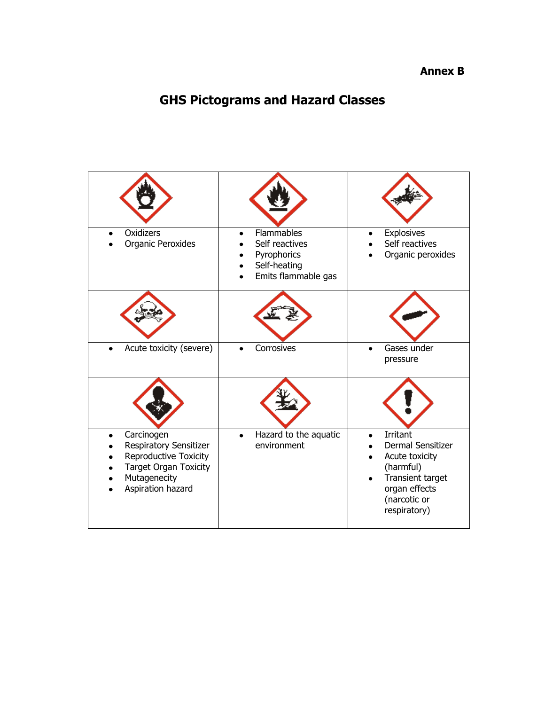# **Annex B**

# **GHS Pictograms and Hazard Classes**

| <b>Oxidizers</b><br>Organic Peroxides                                                                                              | Flammables<br>Self reactives<br>Pyrophorics<br>Self-heating<br>Emits flammable gas | Explosives<br>Self reactives<br>Organic peroxides                                                                                 |
|------------------------------------------------------------------------------------------------------------------------------------|------------------------------------------------------------------------------------|-----------------------------------------------------------------------------------------------------------------------------------|
|                                                                                                                                    |                                                                                    |                                                                                                                                   |
| Acute toxicity (severe)                                                                                                            | Corrosives                                                                         | Gases under<br>pressure                                                                                                           |
|                                                                                                                                    |                                                                                    |                                                                                                                                   |
| Carcinogen<br>Respiratory Sensitizer<br>Reproductive Toxicity<br><b>Target Organ Toxicity</b><br>Mutagenecity<br>Aspiration hazard | Hazard to the aquatic<br>environment                                               | Irritant<br>Dermal Sensitizer<br>Acute toxicity<br>(harmful)<br>Transient target<br>organ effects<br>(narcotic or<br>respiratory) |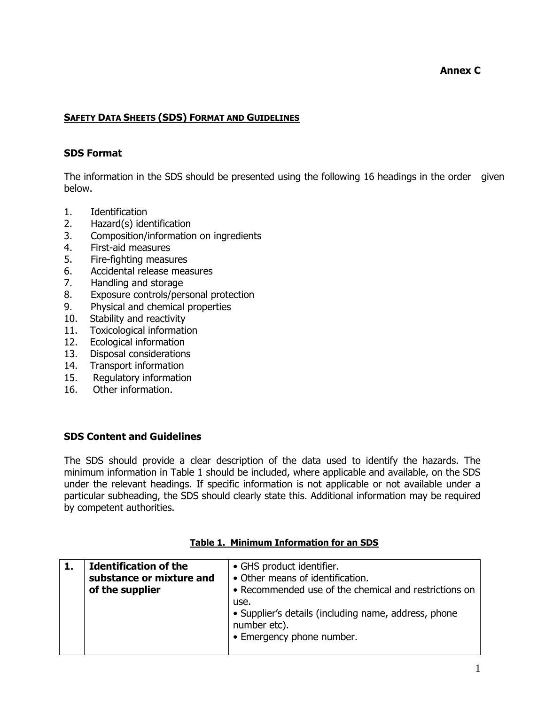# **SAFETY DATA SHEETS (SDS) FORMAT AND GUIDELINES**

# **SDS Format**

The information in the SDS should be presented using the following 16 headings in the order given below.

- 1. Identification
- 2. Hazard(s) identification
- 3. Composition/information on ingredients
- 4. First-aid measures
- 5. Fire-fighting measures
- 6. Accidental release measures
- 7. Handling and storage
- 8. Exposure controls/personal protection
- 9. Physical and chemical properties
- 10. Stability and reactivity
- 11. Toxicological information
- 12. Ecological information
- 13. Disposal considerations
- 14. Transport information
- 15. Regulatory information
- 16. Other information.

### **SDS Content and Guidelines**

The SDS should provide a clear description of the data used to identify the hazards. The minimum information in Table 1 should be included, where applicable and available, on the SDS under the relevant headings. If specific information is not applicable or not available under a particular subheading, the SDS should clearly state this. Additional information may be required by competent authorities.

| <b>Identification of the</b><br>substance or mixture and<br>of the supplier |  | • GHS product identifier.<br>• Other means of identification.<br>• Recommended use of the chemical and restrictions on<br>use. |
|-----------------------------------------------------------------------------|--|--------------------------------------------------------------------------------------------------------------------------------|
|                                                                             |  | • Supplier's details (including name, address, phone<br>number etc).<br>• Emergency phone number.                              |

### **Table 1. Minimum Information for an SDS**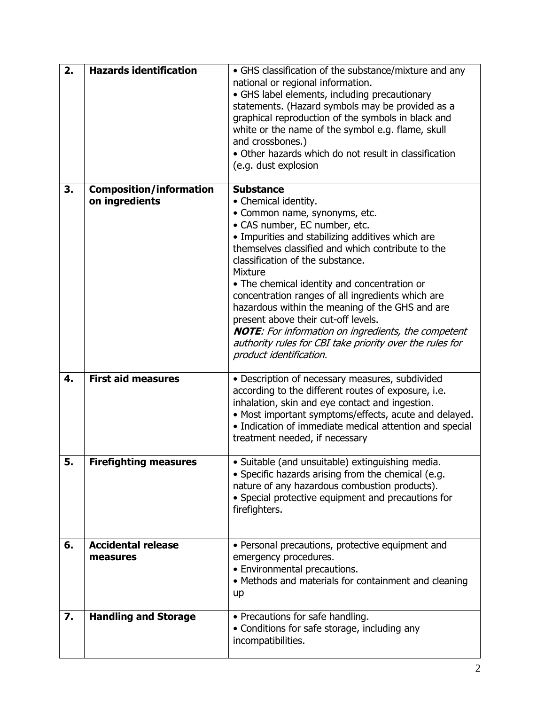| 2. | <b>Hazards identification</b>                    | • GHS classification of the substance/mixture and any<br>national or regional information.<br>• GHS label elements, including precautionary<br>statements. (Hazard symbols may be provided as a<br>graphical reproduction of the symbols in black and<br>white or the name of the symbol e.g. flame, skull<br>and crossbones.)<br>• Other hazards which do not result in classification<br>(e.g. dust explosion                                                                                                                                                                                                               |
|----|--------------------------------------------------|-------------------------------------------------------------------------------------------------------------------------------------------------------------------------------------------------------------------------------------------------------------------------------------------------------------------------------------------------------------------------------------------------------------------------------------------------------------------------------------------------------------------------------------------------------------------------------------------------------------------------------|
| 3. | <b>Composition/information</b><br>on ingredients | <b>Substance</b><br>• Chemical identity.<br>• Common name, synonyms, etc.<br>• CAS number, EC number, etc.<br>• Impurities and stabilizing additives which are<br>themselves classified and which contribute to the<br>classification of the substance.<br><b>Mixture</b><br>• The chemical identity and concentration or<br>concentration ranges of all ingredients which are<br>hazardous within the meaning of the GHS and are<br>present above their cut-off levels.<br><b>NOTE:</b> For information on ingredients, the competent<br>authority rules for CBI take priority over the rules for<br>product identification. |
| 4. | <b>First aid measures</b>                        | • Description of necessary measures, subdivided<br>according to the different routes of exposure, i.e.<br>inhalation, skin and eye contact and ingestion.<br>• Most important symptoms/effects, acute and delayed.<br>• Indication of immediate medical attention and special<br>treatment needed, if necessary                                                                                                                                                                                                                                                                                                               |
| 5. | <b>Firefighting measures</b>                     | · Suitable (and unsuitable) extinguishing media.<br>• Specific hazards arising from the chemical (e.g.<br>nature of any hazardous combustion products).<br>• Special protective equipment and precautions for<br>firefighters.                                                                                                                                                                                                                                                                                                                                                                                                |
| 6. | <b>Accidental release</b><br>measures            | • Personal precautions, protective equipment and<br>emergency procedures.<br>• Environmental precautions.<br>• Methods and materials for containment and cleaning<br>up                                                                                                                                                                                                                                                                                                                                                                                                                                                       |
| 7. | <b>Handling and Storage</b>                      | • Precautions for safe handling.<br>• Conditions for safe storage, including any<br>incompatibilities.                                                                                                                                                                                                                                                                                                                                                                                                                                                                                                                        |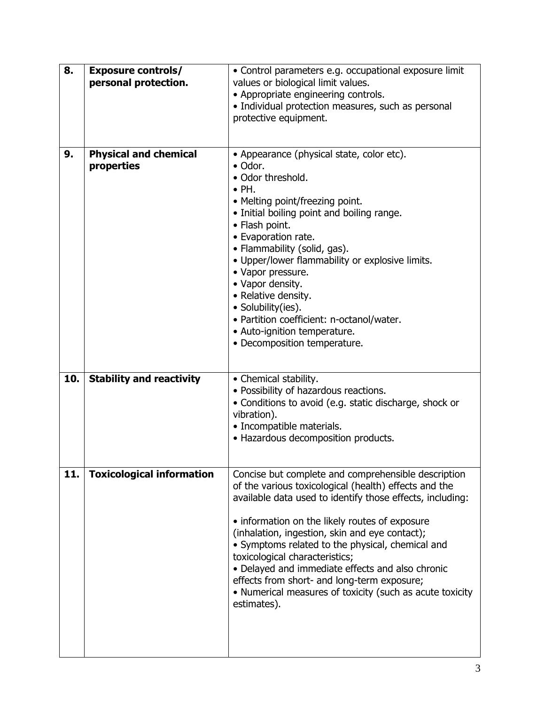| 8.  | <b>Exposure controls/</b><br>personal protection. | • Control parameters e.g. occupational exposure limit<br>values or biological limit values.                                                                                                                                                                                                                                                                                                                                                                                                                                                       |  |
|-----|---------------------------------------------------|---------------------------------------------------------------------------------------------------------------------------------------------------------------------------------------------------------------------------------------------------------------------------------------------------------------------------------------------------------------------------------------------------------------------------------------------------------------------------------------------------------------------------------------------------|--|
|     |                                                   | • Appropriate engineering controls.<br>· Individual protection measures, such as personal<br>protective equipment.                                                                                                                                                                                                                                                                                                                                                                                                                                |  |
| 9.  | <b>Physical and chemical</b><br>properties        | • Appearance (physical state, color etc).<br>• Odor.<br>• Odor threshold.<br>$\bullet$ PH.<br>• Melting point/freezing point.<br>• Initial boiling point and boiling range.<br>• Flash point.<br>• Evaporation rate.<br>• Flammability (solid, gas).<br>• Upper/lower flammability or explosive limits.<br>• Vapor pressure.<br>• Vapor density.<br>• Relative density.<br>• Solubility(ies).<br>• Partition coefficient: n-octanol/water.<br>• Auto-ignition temperature.                                                                        |  |
|     |                                                   | • Decomposition temperature.                                                                                                                                                                                                                                                                                                                                                                                                                                                                                                                      |  |
| 10. | <b>Stability and reactivity</b>                   | • Chemical stability.<br>• Possibility of hazardous reactions.<br>• Conditions to avoid (e.g. static discharge, shock or<br>vibration).<br>• Incompatible materials.<br>• Hazardous decomposition products.                                                                                                                                                                                                                                                                                                                                       |  |
| 11. | <b>Toxicological information</b>                  | Concise but complete and comprehensible description<br>of the various toxicological (health) effects and the<br>available data used to identify those effects, including:<br>• information on the likely routes of exposure<br>(inhalation, ingestion, skin and eye contact);<br>• Symptoms related to the physical, chemical and<br>toxicological characteristics;<br>• Delayed and immediate effects and also chronic<br>effects from short- and long-term exposure;<br>• Numerical measures of toxicity (such as acute toxicity<br>estimates). |  |